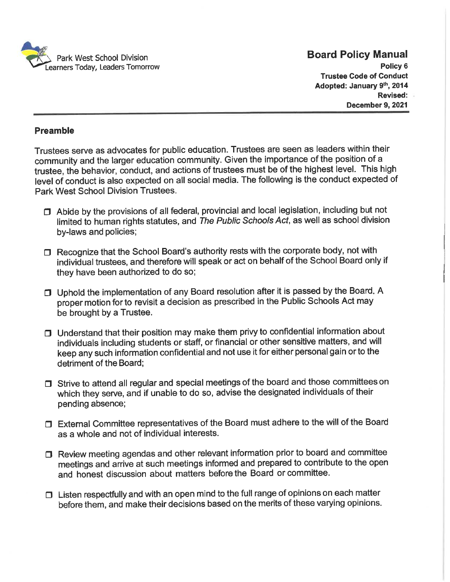

Policy 6 Trustee Code of Conduct Adopted: January 9th, 2014 Revised: December 9, 2021

#### Preamble

Trustees serve as advocates for public education. Trustees are seen as leaders within their community and the larger education community. Given the importance of the position of a trustee, the behavior, conduct, and actions of trustees must be of the highest level. This high level of conduct is also expected on all social media. The following is the conduct expected of Park West School Division Trustees.

- $\Box$  Abide by the provisions of all federal, provincial and local legislation, including but not limited to human rights statutes, and The Public Schools Act, as well as school division by-laws and policies;
- $\Box$  Recognize that the School Board's authority rests with the corporate body, not with individual trustees, and therefore will speak or act on behalf of the School Board only if they have been authorized to do so;
- 0 Uphold the implementation of any Board resolution after it is passed by the Board. A proper motion for to revisit a decision as prescribed in the Public Schools Act may be brought by a Trustee.
- $\Box$  Understand that their position may make them privy to confidential information about individuals including students or staff, or financial or other sensitive matters, and will keep any such information confidential and not use it for either personal gain or to the detriment of the Board;
- $\Box$  Strive to attend all regular and special meetings of the board and those committees on which they serve, and if unable to do so, advise the designated individuals of their pending absence;
- 0 External Committee representatives of the Board must adhere to the will of the Board as a whole and not of individual interests.
- $\Box$  Review meeting agendas and other relevant information prior to board and committee meetings and arrive at such meetings informed and prepared to contribute to the open and honest discussion about matters before the Board or committee.
- $\Box$  Listen respectfully and with an open mind to the full range of opinions on each matter before them, and make their decisions based on the merits of these varying opinions.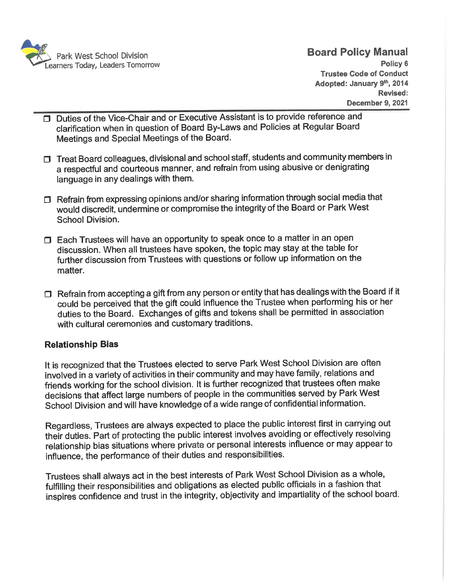

- **Duties of the Vice-Chair and or Executive Assistant is to provide reference and** clarification when in question of Board By-Laws and Policies at Regular Board Meetings and Special Meetings of the Board.
- $\Box$  Treat Board colleagues, divisional and school staff, students and community members in a respectful and courteous manner, and refrain from using abusive or denigrating language in any dealings with them.
- $\Box$  Refrain from expressing opinions and/or sharing information through social media that would discredit, undermine or compromise the integrity of the Board or Park West School Division.
- D Each Trustees will have an opportunity to speak once to a matter in an open discussion. When all trustees have spoken, the topic may stay at the table for further discussion from Trustees with questions or follow up information on the matter.
- $\Box$  Refrain from accepting a gift from any person or entity that has dealings with the Board if it could be perceived that the gift could influence the Trustee when performing his or her duties to the Board. Exchanges of gifts and tokens shall be permitted in association with cultural ceremonies and customary traditions.

### Relationship Bias

It is recognized that the Trustees elected to serve Park West School Division are often involved in a variety of activities in their community and may have family, relations and friends working for the school division. It is further recognized that trustees often make decisions that affect large numbers of people in the communities served by Park West School Division and will have knowledge of a wide range of confidential information.

Regardless, Trustees are always expected to place the public interest first in carrying out their duties. Part of protecting the public interest involves avoiding or effectively resolving relationship bias situations where private or personal interests influence or may appear to influence, the performance of their duties and responsibilities.

Trustees shall always act in the best interests of Park West School Division as a whole, fulfilling their responsibilities and obligations as elected public officials in a fashion that inspires confidence and trust in the integrity, objectivity and impartiality of the school board.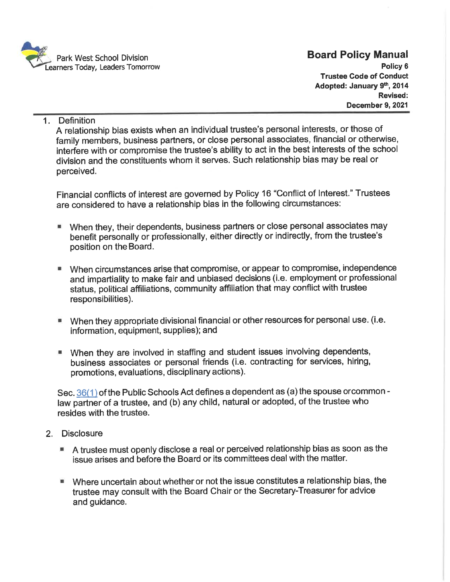

1. Definition

A relationship bias exists when an individual trustee's personal interests, or those of family members, business partners, or close personal associates, financial or otherwise, interfere with or compromise the trustee's ability to act in the best interests of the school division and the constituents whom it serves. Such relationship bias may be real or perceived.

Financial conflicts of interest are governed by Policy 16 "Conflict of Interest. " Trustees are considered to have a relationship bias in the following circumstances:

- When they, their dependents, business partners or close personal associates may 飌 benefit personally or professionally, either directly or indirectly, from the trustee's position on the Board.
- When circumstances arise that compromise, or appear to compromise, independence a. and impartiality to make fair and unbiased decisions (i.e. employment or professional status, political affiliations, community affiliation that may conflict with trustee responsibilities).
- When they appropriate divisional financial or other resources for personal use. (i.e. information, equipment, supplies); and
- When they are involved in staffing and student issues involving dependents, business associates or personal friends (i.e. contracting for services, hiring, promotions, evaluations, disciplinary actions).

Sec.  $36(1)$  of the Public Schools Act defines a dependent as (a) the spouse orcommon law partner of a trustee, and (b) any child, natural or adopted, of the trustee who resides with the trustee.

- 2. Disclosure
	- A trustee must openly disclose a real or perceived relationship bias as soon as the issue arises and before the Board or its committees deal with the matter.
	- Where uncertain about whether or not the issue constitutes a relationship bias, the trustee may consult with the Board Chair or the Secretary-Treasurer for advice and guidance.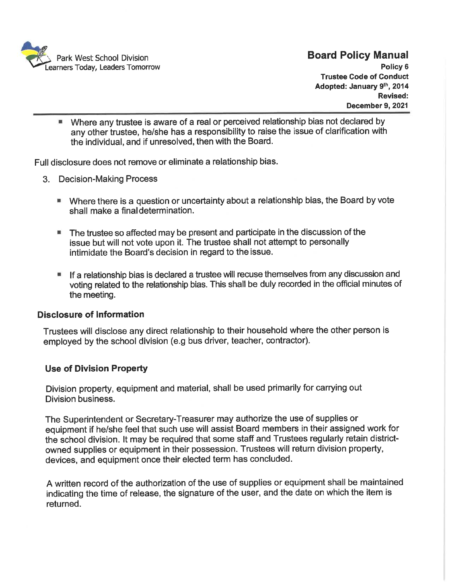

Where any trustee is aware of a real or perceived relationship bias not declared by 羅 any other trustee, he/she has a responsibility to raise the issue of clarification with the individual, and if unresolved, then with the Board.

Full disclosure does not remove or eliminate a relationship bias.

- 3. Decision-Making Process
	- Where there is a question or uncertainty about a relationship bias, the Board by vote shall make a final determination.
	- The trustee so affected may be present and participate in the discussion of the issue but will not vote upon it. The trustee shall not attempt to personally intimidate the Board's decision in regard to the issue.
	- If a relationship bias is declared a trustee will recuse themselves from any discussion and voting related to the relationship bias. This shall be duly recorded in the official minutes of the meeting.

#### Disclosure of Information

Trustees will disclose any direct relationship to their household where the other person is employed by the school division (e. g bus driver, teacher, contractor).

### Use of Division Property

Division property, equipment and material, shall be used primarily for carrying out Division business.

The Superintendent or Secretary-Treasurer may authorize the use of supplies or equipment if he/she feel that such use will assist Board members in their assigned work for the school division. It may be required that some staff and Trustees regularly retain districtowned supplies or equipment in their possession. Trustees will return division property, devices, and equipment once their elected term has concluded.

A written record of the authorization of the use of supplies or equipment shall be maintained indicating the time of release, the signature of the user, and the date on which the item is returned.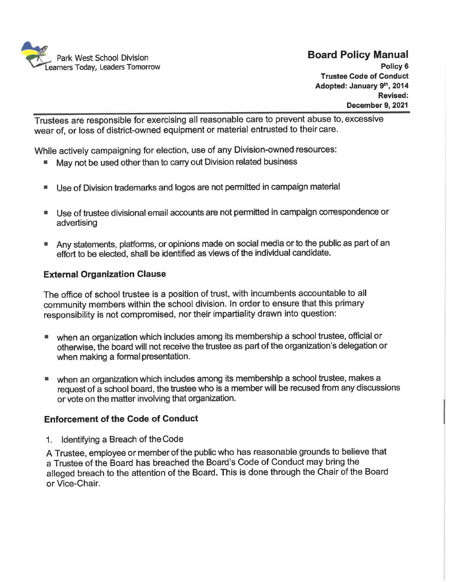

Trustees are responsible for exercising all reasonable care to prevent abuse to, excessive wear of, or loss of district-owned equipment or material entrusted to their care.

While actively campaigning for election, use of any Division-owned resources:

- May not be used other than to carry out Division related business
- Use of Division trademarks and logos are not permitted in campaign material
- Use of trustee divisional email accounts are not permitted in campaign correspondence or advertising
- **Any statements, platforms, or opinions made on social media or to the public as part of an** effort to be elected, shall be identified as views of the individual candidate.

### External Organization Clause

The office of school trustee is a position of trust, with incumbents accountable to all community members within the school division. In order to ensure that this primary responsibility is not compromised, nor their impartiality drawn into question:

- when an organization which includes among its membership a school trustee, official or otherwise, the board will not receive the trustee as part of the organization's delegation or when making a formal presentation.
- when an organization which includes among its membership a school trustee, makes a request of a school board, the trustee who is a member will be recused from any discussions or vote on the matter involving that organization.

### Enforcement of the Code of Conduct

1. Identifying a Breach of the Code

A Trustee, employee or member of the public who has reasonable grounds to believe that a Trustee of the Board has breached the Board's Code of Conduct may bring the alleged breach to the attention of the Board. This is done through the Chair of the Board or Vice-Chair.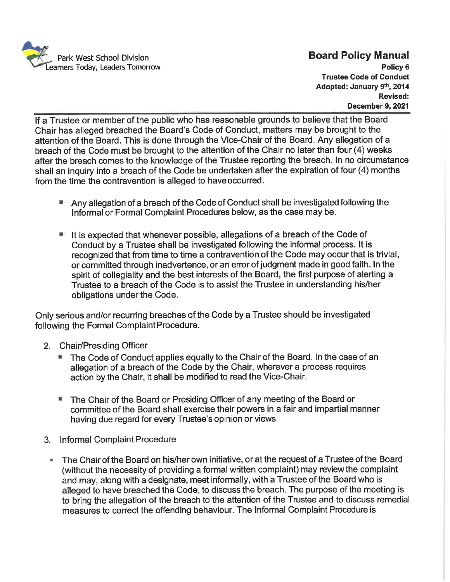

If a Trustee or member of the public who has reasonable grounds to believe that the Board Chair has alleged breached the Board's Code of Conduct, matters may be brought to the attention of the Board. This is done through the Vice-Chair of the Board. Any allegation of a breach of the Code must be brought to the attention of the Chair no later than four (4) weeks after the breach comes to the knowledge of the Trustee reporting the breach. In no circumstance shall an inquiry into a breach of the Code be undertaken after the expiration of four (4) months from the time the contravention is alleged to have occurred.

- Any allegation of a breach of the Code of Conduct shall be investigated following the Informal or Formal Complaint Procedures below, as the case may be.
- It is expected that whenever possible, allegations of a breach of the Code of Conduct by a Trustee shall be investigated following the informal process. It is recognized that from time to time a contravention of the Code may occur that is trivial, or committed through inadvertence, or an error of judgment made in good faith. In the spirit of collegiality and the best interests of the Board, the first purpose of alerting a Trustee to a breach of the Code is to assist the Trustee in understanding his/her obligations under the Code.

Only serious and/or recurring breaches of the Code by a Trustee should be investigated following the Formal Complaint Procedure.

- 2. Chair/Presiding Officer
	- The Code of Conduct applies equally to the Chair of the Board. In the case of an allegation of a breach of the Code by the Chair, wherever a process requires action by the Chair, it shall be modified to read the Vice-Chair.
	- The Chair of the Board or Presiding Officer of any meeting of the Board or 疆 committee of the Board shall exercise their powers in a fair and impartial manner having due regard for every Trustee's opinion or views.
- 3. Informal Complaint Procedure
- The Chair of the Board on his/her own initiative, or at the request of a Trustee of the Board (without the necessity of providing a formal written complaint) may review the complaint and may, along with a designate, meet informally, with a Trustee of the Board who is alleged to have breached the Code, to discuss the breach. The purpose of the meeting is to bring the allegation of the breach to the attention of the Tmstee and to discuss remedial measures to correct the offending behaviour. The Informal Complaint Procedure is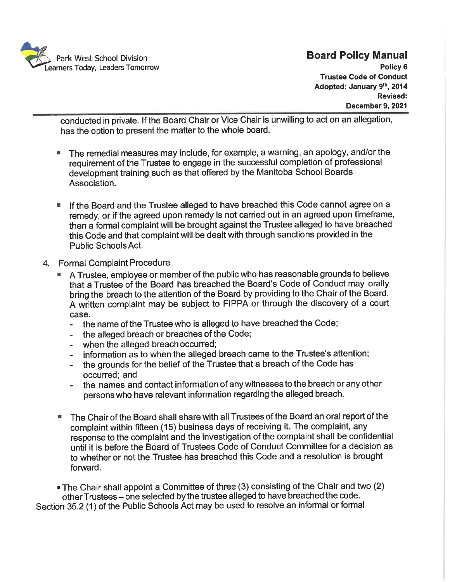

conducted in private. If the Board Chair or Vice Chair is unwilling to act on an allegation, has the option to present the matter to the whole board.

- The remedial measures may include, for example, a warning, an apology, and/orthe requirement of the Trustee to engage in the successful completion of professional development training such as that offered by the Manitoba School Boards Association.
- If the Board and the Trustee alleged to have breached this Code cannot agree on a remedy, or if the agreed upon remedy is not carried out in an agreed upon timeframe, then a formal complaint will be brought against the Trustee alleged to have breached this Code and that complaint will be dealt with through sanctions provided in the Public Schools Act.
- 4. Formal Complaint Procedure
	- A Trustee, employee or member of the public who has reasonable grounds to believe that a Trustee of the Board has breached the Board's Code of Conduct may orally bring the breach to the attention of the Board by providing to the Chair of the Board. A written complaint may be subject to FIPPA or through the discovery of a court case.
		- the name of the Trustee who is alleged to have breached the Code;  $\mathbf{r}$
		- the alleged breach or breaches of the Code;
		- when the alleged breach occurred;  $\sim$
		- information as to when the alleged breach came to the Trustee's attention;  $\sim$
		- the grounds for the belief of the Trustee that a breach of the Code has occurred; and
		- the names and contact information of any witnesses to the breach or any other persons who have relevant information regarding the alleged breach.
	- The Chair of the Board shall share with all Trustees of the Board an oral report of the complaint within fifteen (15) business days of receiving it. The complaint, any response to the complaint and the investigation of the complaint shall be confidential until it is before the Board of Trustees Code of Conduct Committee for a decision as to whether or not the Trustee has breached this Code and a resolution is brought forward.

.The Chair shall appoint a Committee of three (3) consisting of the Chair and two (2) other Trustees - one selected by the tmstee alleged to have breached the code. Section 35.2 (1) of the Public Schools Act may be used to resolve an informal or formal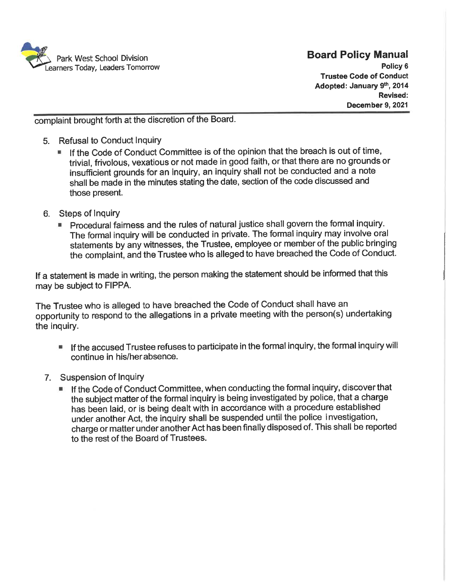

Policy 6 Trustee Code of Conduct Adopted: January 9th, 2014 Revised: December 9, 2021

complaint brought forth at the discretion of the Board.

- 5. Refusal to Conduct Inquiry
	- If the Code of Conduct Committee is of the opinion that the breach is out of time, 糊 trivial, frivolous, vexatious or not made in good faith, or that there are no grounds or insufficient grounds for an inquiry, an inquiry shall not be conducted and a note shall be made in the minutes stating the date, section of the code discussed and those present.
- 6. Steps of Inquiry
	- Procedural fairness and the rules of natural justice shall govern the formal inquiry. The formal inquiry will be conducted in private. The formal inquiry may involve oral statements by any witnesses, the Trustee, employee or member of the public bringing the complaint, and the Trustee who is alleged to have breached the Code of Conduct.

If a statement is made in writing, the person making the statement should be informed that this may be subject to FIPPA.

The Trustee who is alleged to have breached the Code of Conduct shall have an opportunity to respond to the allegations in a private meeting with the person(s) undertaking the inquiry.

- If the accused Trustee refuses to participate in the formal inquiry, the formal inquiry will 量 continue in his/herabsence.
- 7. Suspension of Inquiry
	- If the Code of Conduct Committee, when conducting the formal inquiry, discoverthat the subject matter of the formal inquiry is being investigated by police, that a charge has been laid, or is being dealt with in accordance with a procedure established under another Act, the inquiry shall be suspended until the police investigation, charge or matter under another Act has been finally disposed of. This shall be reported to the rest of the Board of Trustees.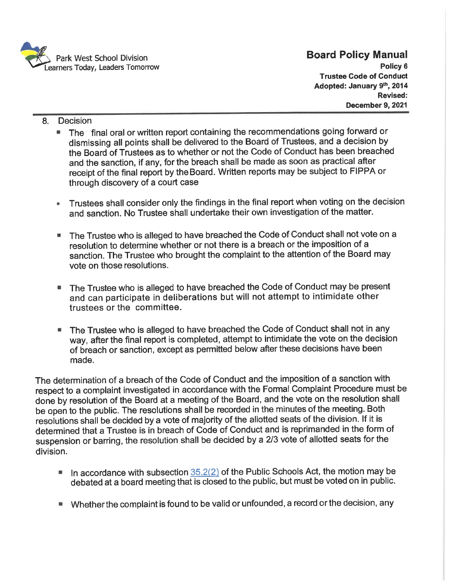

Policy 6 Trustee Code of Conduct Adopted: January 9<sup>th</sup>, 2014 Revised: December 9, 2021

- 8. Decision
	- The final oral or written report containing the recommendations going forward or dismissing all points shall be delivered to the Board of Trustees, and a decision by the Board of Trustees as to whether or not the Code of Conduct has been breached and the sanction, if any, for the breach shall be made as soon as practical after receipt of the final report by the Board. Written reports may be subject to FIPPA or through discovery of a court case
	- Trustees shall consider only the findings in the final report when voting on the decision  $\mathbf{H}$ and sanction. No Trustee shall undertake their own investigation of the matter.
	- The Trustee who is alleged to have breached the Code of Conduct shall not vote on a resolution to determine whether or not there is a breach or the imposition of a sanction. The Trustee who brought the complaint to the attention of the Board may vote on those resolutions.
	- The Trustee who is alleged to have breached the Code of Conduct may be present and can participate in deliberations but will not attempt to intimidate other trustees or the committee.
	- The Trustee who is alleged to have breached the Code of Conduct shall not in any 量 way, after the final report is completed, attempt to intimidate the vote on the decision of breach or sanction, except as permitted below after these decisions have been made.

The determination of a breach of the Code of Conduct and the imposition of a sanction with respect to a complaint investigated in accordance with the Formal Complaint Procedure must be done by resolution of the Board at a meeting of the Board, and the vote on the resolutton shall be open to the public. The resolutions shall be recorded in the minutes of the meeting. Both resolutions shall be decided by a vote of majority of the allotted seats of the division. If it is determined that a Trustee is in breach of Code of Conduct and is reprimanded in the form of suspension or barring, the resolution shall be decided by a 2/3 vote of allotted seats for the division.

- In accordance with subsection  $35.2(2)$  of the Public Schools Act, the motion may be 目 debated at a board meeting that is closed to the public, but must be voted on in public.
- Whether the complaint is found to be valid or unfounded, a record or the decision, any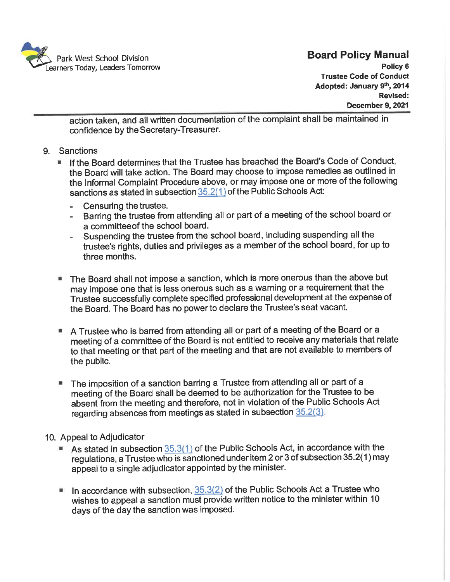

Policy 6 Trustee Code of Conduct Adopted: January 9th, 2014 Revised: December 9, 2021

action taken, and all written documentation of the complaint shall be maintained in confidence by theSecretary-Treasurer.

- 9. Sanctions
	- If the Board determines that the Trustee has breached the Board's Code of Conduct. the Board will take action. The Board may choose to impose remedies as outlined in the Informal Complaint Procedure above, or may impose one or more of the following sanctions as stated in subsection 35.2(1) of the Public Schools Act:
		- Censuring the trustee.  $\sim$
		- Barring the trustee from attending all or part of a meeting of the school board or  $\sim$ a committeeof the school board.
		- Suspending the trustee from the school board, including suspending all the  $\sim$ trustee's rights, duties and privileges as a member of the school board, for up to three months.
	- The Board shall not impose a sanction, which is more onerous than the above but may impose one that is less onerous such as a warning or a requirement that the Trustee successfully complete specified professional development at the expense of the Board. The Board has no power to declare the Tmstee's seat vacant.
	- A Trustee who is barred from attending all or part of a meeting of the Board or a meeting of a committee of the Board is not entitled to receive any materials that relate to that meeting or that part of the meeting and that are not available to members of the public.
	- The imposition of a sanction barring a Trustee from attending all or part of a meeting of the Board shall be deemed to be authorization for the Trustee to be absent from the meeting and therefore, not in violation of the Public Schools Act regarding absences from meetings as stated in subsection  $35.2(3)$ .

#### 10. Appeal to Adjudicator

- As stated in subsection 35.3(1) of the Public Schools Act, in accordance with the  $\equiv$ regulations, a Trustee who is sanctioned under item 2 or 3 of subsection 35.2(1) may appeal to a single adjudicator appointed by the minister.
- In accordance with subsection,  $35.3(2)$  of the Public Schools Act a Trustee who wishes to appeal a sanction must provide written notice to the minister within 10 days of the day the sanction was imposed.